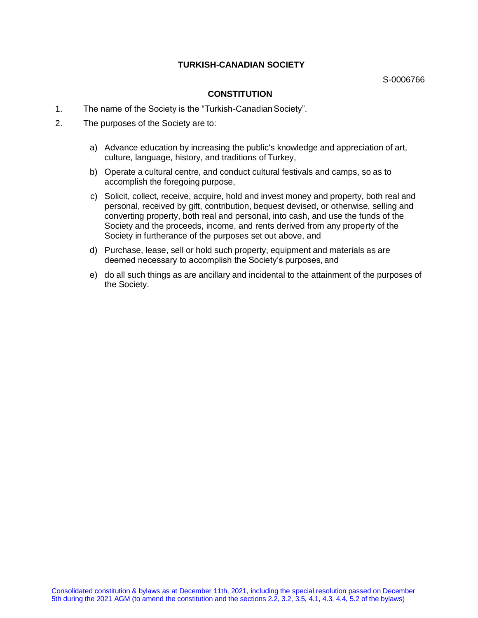## **TURKISH-CANADIAN SOCIETY**

S-0006766

### **CONSTITUTION**

- 1. The name of the Society is the "Turkish-Canadian Society".
- 2. The purposes of the Society are to:
	- a) Advance education by increasing the public's knowledge and appreciation of art, culture, language, history, and traditions ofTurkey,
	- b) Operate a cultural centre, and conduct cultural festivals and camps, so as to accomplish the foregoing purpose,
	- c) Solicit, collect, receive, acquire, hold and invest money and property, both real and personal, received by gift, contribution, bequest devised, or otherwise, selling and converting property, both real and personal, into cash, and use the funds of the Society and the proceeds, income, and rents derived from any property of the Society in furtherance of the purposes set out above, and
	- d) Purchase, lease, sell or hold such property, equipment and materials as are deemed necessary to accomplish the Society's purposes, and
	- e) do all such things as are ancillary and incidental to the attainment of the purposes of the Society.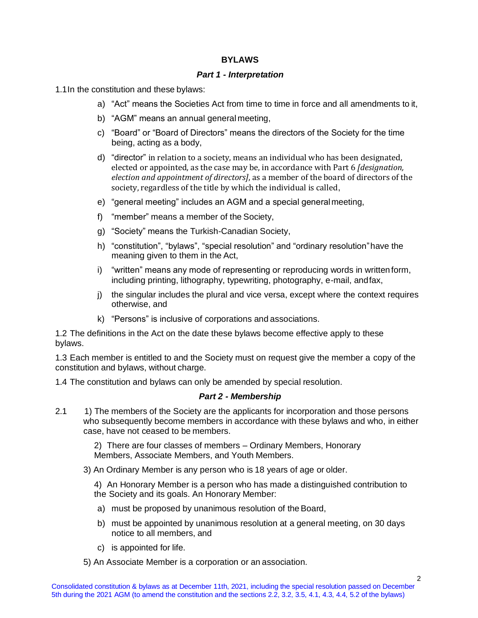# **BYLAWS**

# *Part 1 - Interpretation*

1.1In the constitution and these bylaws:

- a) "Act" means the Societies Act from time to time in force and all amendments to it,
- b) "AGM" means an annual general meeting,
- c) "Board" or "Board of Directors" means the directors of the Society for the time being, acting as a body,
- d) "director" in relation to a society, means an individual who has been designated, elected or appointed, as the case may be, in accordance with Part 6 *[designation, election and appointment of directors]*, as a member of the board of directors of the society, regardless of the title by which the individual is called,
- e) "general meeting" includes an AGM and a special generalmeeting,
- f) "member" means a member of the Society,
- g) "Society" means the Turkish-Canadian Society,
- h) "constitution", "bylaws", "special resolution" and "ordinary resolution"have the meaning given to them in the Act,
- i) "written" means any mode of representing or reproducing words in writtenform, including printing, lithography, typewriting, photography, e-mail, andfax,
- j) the singular includes the plural and vice versa, except where the context requires otherwise, and
- k) "Persons" is inclusive of corporations and associations.

1.2 The definitions in the Act on the date these bylaws become effective apply to these bylaws.

1.3 Each member is entitled to and the Society must on request give the member a copy of the constitution and bylaws, without charge.

1.4 The constitution and bylaws can only be amended by special resolution.

# *Part 2 - Membership*

2.1 1) The members of the Society are the applicants for incorporation and those persons who subsequently become members in accordance with these bylaws and who, in either case, have not ceased to be members.

> 2) There are four classes of members – Ordinary Members, Honorary Members, Associate Members, and Youth Members.

3) An Ordinary Member is any person who is 18 years of age or older.

4) An Honorary Member is a person who has made a distinguished contribution to the Society and its goals. An Honorary Member:

- a) must be proposed by unanimous resolution of the Board,
- b) must be appointed by unanimous resolution at a general meeting, on 30 days notice to all members, and
- c) is appointed for life.
- 5) An Associate Member is a corporation or an association.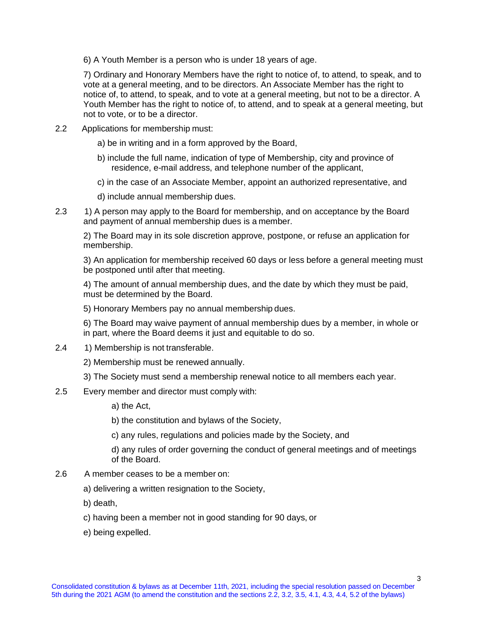6) A Youth Member is a person who is under 18 years of age.

7) Ordinary and Honorary Members have the right to notice of, to attend, to speak, and to vote at a general meeting, and to be directors. An Associate Member has the right to notice of, to attend, to speak, and to vote at a general meeting, but not to be a director. A Youth Member has the right to notice of, to attend, and to speak at a general meeting, but not to vote, or to be a director.

- 2.2 Applications for membership must:
	- a) be in writing and in a form approved by the Board,
	- b) include the full name, indication of type of Membership, city and province of residence, e-mail address, and telephone number of the applicant,
	- c) in the case of an Associate Member, appoint an authorized representative, and
	- d) include annual membership dues.
- 2.3 1) A person may apply to the Board for membership, and on acceptance by the Board and payment of annual membership dues is a member.

2) The Board may in its sole discretion approve, postpone, or refuse an application for membership.

3) An application for membership received 60 days or less before a general meeting must be postponed until after that meeting.

4) The amount of annual membership dues, and the date by which they must be paid, must be determined by the Board.

5) Honorary Members pay no annual membership dues.

6) The Board may waive payment of annual membership dues by a member, in whole or in part, where the Board deems it just and equitable to do so.

2.4 1) Membership is not transferable.

2) Membership must be renewed annually.

- 3) The Society must send a membership renewal notice to all members each year.
- 2.5 Every member and director must comply with:
	- a) the Act,

b) the constitution and bylaws of the Society,

c) any rules, regulations and policies made by the Society, and

d) any rules of order governing the conduct of general meetings and of meetings of the Board.

- 2.6 A member ceases to be a member on:
	- a) delivering a written resignation to the Society,
	- b) death,
	- c) having been a member not in good standing for 90 days, or
	- e) being expelled.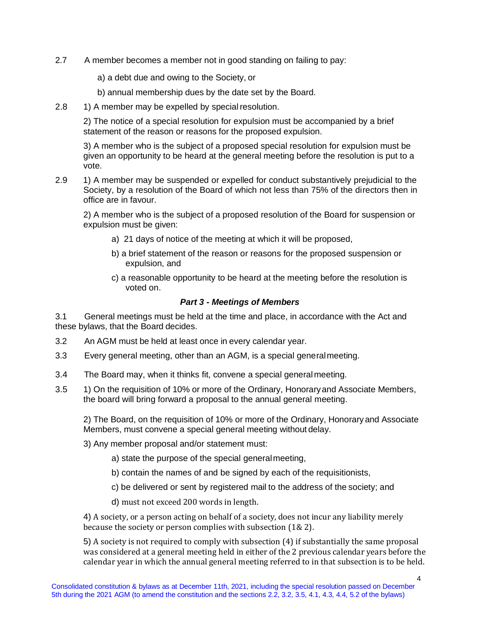2.7 A member becomes a member not in good standing on failing to pay:

a) a debt due and owing to the Society, or

b) annual membership dues by the date set by the Board.

2.8 1) A member may be expelled by special resolution.

2) The notice of a special resolution for expulsion must be accompanied by a brief statement of the reason or reasons for the proposed expulsion.

3) A member who is the subject of a proposed special resolution for expulsion must be given an opportunity to be heard at the general meeting before the resolution is put to a vote.

2.9 1) A member may be suspended or expelled for conduct substantively prejudicial to the Society, by a resolution of the Board of which not less than 75% of the directors then in office are in favour.

2) A member who is the subject of a proposed resolution of the Board for suspension or expulsion must be given:

- a) 21 days of notice of the meeting at which it will be proposed,
- b) a brief statement of the reason or reasons for the proposed suspension or expulsion, and
- c) a reasonable opportunity to be heard at the meeting before the resolution is voted on.

### *Part 3 - Meetings of Members*

3.1 General meetings must be held at the time and place, in accordance with the Act and these bylaws, that the Board decides.

- 3.2 An AGM must be held at least once in every calendar year.
- 3.3 Every general meeting, other than an AGM, is a special generalmeeting.
- 3.4 The Board may, when it thinks fit, convene a special generalmeeting.
- 3.5 1) On the requisition of 10% or more of the Ordinary, Honoraryand Associate Members, the board will bring forward a proposal to the annual general meeting.

2) The Board, on the requisition of 10% or more of the Ordinary, Honorary and Associate Members, must convene a special general meeting without delay.

- 3) Any member proposal and/or statement must:
	- a) state the purpose of the special generalmeeting,
	- b) contain the names of and be signed by each of the requisitionists,
	- c) be delivered or sent by registered mail to the address of the society; and
	- d) must not exceed 200 words in length.

4) A society, or a person acting on behalf of a society, does not incur any liability merely because the society or person complies with subsection (1& 2).

5) A society is not required to comply with subsection (4) if substantially the same proposal was considered at a general meeting held in either of the 2 previous calendar years before the calendar year in which the annual general meeting referred to in that subsection is to be held.

4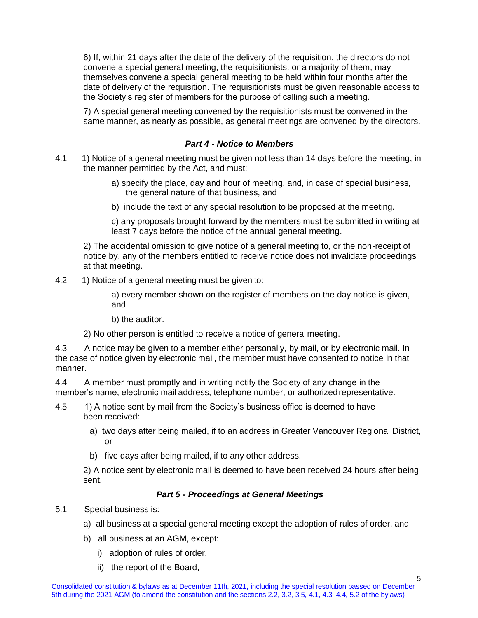6) If, within 21 days after the date of the delivery of the requisition, the directors do not convene a special general meeting, the requisitionists, or a majority of them, may themselves convene a special general meeting to be held within four months after the date of delivery of the requisition. The requisitionists must be given reasonable access to the Society's register of members for the purpose of calling such a meeting.

7) A special general meeting convened by the requisitionists must be convened in the same manner, as nearly as possible, as general meetings are convened by the directors.

## *Part 4 - Notice to Members*

- 4.1 1) Notice of a general meeting must be given not less than 14 days before the meeting, in the manner permitted by the Act, and must:
	- a) specify the place, day and hour of meeting, and, in case of special business, the general nature of that business, and
	- b) include the text of any special resolution to be proposed at the meeting.

c) any proposals brought forward by the members must be submitted in writing at least 7 days before the notice of the annual general meeting.

2) The accidental omission to give notice of a general meeting to, or the non-receipt of notice by, any of the members entitled to receive notice does not invalidate proceedings at that meeting.

4.2 1) Notice of a general meeting must be given to:

a) every member shown on the register of members on the day notice is given, and

b) the auditor.

2) No other person is entitled to receive a notice of generalmeeting.

4.3 A notice may be given to a member either personally, by mail, or by electronic mail. In the case of notice given by electronic mail, the member must have consented to notice in that manner.

4.4 A member must promptly and in writing notify the Society of any change in the member's name, electronic mail address, telephone number, or authorizedrepresentative.

- 4.5 1) A notice sent by mail from the Society's business office is deemed to have been received:
	- a) two days after being mailed, if to an address in Greater Vancouver Regional District, or
	- b) five days after being mailed, if to any other address.

2) A notice sent by electronic mail is deemed to have been received 24 hours after being sent.

# *Part 5 - Proceedings at General Meetings*

- 5.1 Special business is:
	- a) all business at a special general meeting except the adoption of rules of order, and
	- b) all business at an AGM, except:
		- i) adoption of rules of order,
		- ii) the report of the Board,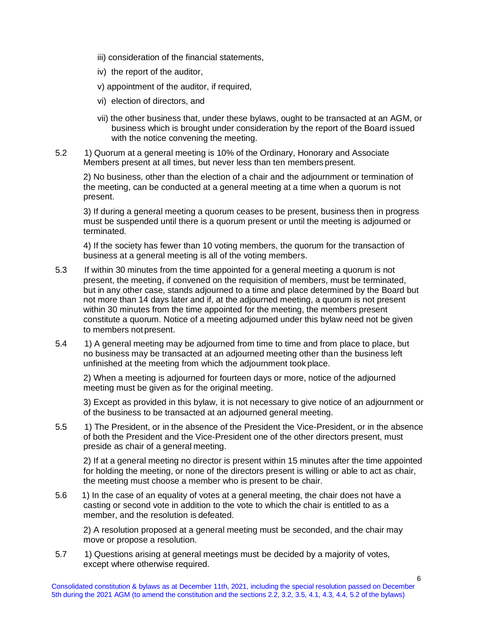- iii) consideration of the financial statements,
- iv) the report of the auditor,
- v) appointment of the auditor, if required,
- vi) election of directors, and
- vii) the other business that, under these bylaws, ought to be transacted at an AGM, or business which is brought under consideration by the report of the Board issued with the notice convening the meeting.
- 5.2 1) Quorum at a general meeting is 10% of the Ordinary, Honorary and Associate Members present at all times, but never less than ten memberspresent.

2) No business, other than the election of a chair and the adjournment or termination of the meeting, can be conducted at a general meeting at a time when a quorum is not present.

3) If during a general meeting a quorum ceases to be present, business then in progress must be suspended until there is a quorum present or until the meeting is adjourned or terminated.

4) If the society has fewer than 10 voting members, the quorum for the transaction of business at a general meeting is all of the voting members.

- 5.3 If within 30 minutes from the time appointed for a general meeting a quorum is not present, the meeting, if convened on the requisition of members, must be terminated, but in any other case, stands adjourned to a time and place determined by the Board but not more than 14 days later and if, at the adjourned meeting, a quorum is not present within 30 minutes from the time appointed for the meeting, the members present constitute a quorum. Notice of a meeting adjourned under this bylaw need not be given to members not present.
- 5.4 1) A general meeting may be adjourned from time to time and from place to place, but no business may be transacted at an adjourned meeting other than the business left unfinished at the meeting from which the adjournment took place.

2) When a meeting is adjourned for fourteen days or more, notice of the adjourned meeting must be given as for the original meeting.

3) Except as provided in this bylaw, it is not necessary to give notice of an adjournment or of the business to be transacted at an adjourned general meeting.

5.5 1) The President, or in the absence of the President the Vice-President, or in the absence of both the President and the Vice-President one of the other directors present, must preside as chair of a general meeting.

2) If at a general meeting no director is present within 15 minutes after the time appointed for holding the meeting, or none of the directors present is willing or able to act as chair, the meeting must choose a member who is present to be chair.

5.6 1) In the case of an equality of votes at a general meeting, the chair does not have a casting or second vote in addition to the vote to which the chair is entitled to as a member, and the resolution is defeated.

2) A resolution proposed at a general meeting must be seconded, and the chair may move or propose a resolution.

5.7 1) Questions arising at general meetings must be decided by a majority of votes, except where otherwise required.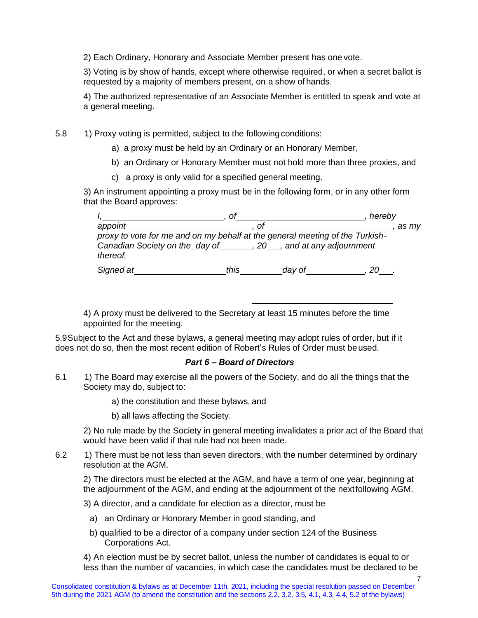2) Each Ordinary, Honorary and Associate Member present has one vote.

3) Voting is by show of hands, except where otherwise required, or when a secret ballot is requested by a majority of members present, on a show of hands.

4) The authorized representative of an Associate Member is entitled to speak and vote at a general meeting.

5.8 1) Proxy voting is permitted, subject to the following conditions:

- a) a proxy must be held by an Ordinary or an Honorary Member,
- b) an Ordinary or Honorary Member must not hold more than three proxies, and
- c) a proxy is only valid for a specified general meeting.

3) An instrument appointing a proxy must be in the following form, or in any other form that the Board approves:

|                                                                              | Ω    |                            | hereby |
|------------------------------------------------------------------------------|------|----------------------------|--------|
| appoint                                                                      | ΩI   |                            | as mv  |
| proxy to vote for me and on my behalf at the general meeting of the Turkish- |      |                            |        |
| Canadian Society on the day of<br>thereof.                                   |      | 20, and at any adjournment |        |
| Signed at                                                                    | this | day of                     |        |

4) A proxy must be delivered to the Secretary at least 15 minutes before the time appointed for the meeting.

5.9Subject to the Act and these bylaws, a general meeting may adopt rules of order, but if it does not do so, then the most recent edition of Robert's Rules of Order must beused.

### *Part 6 – Board of Directors*

- 6.1 1) The Board may exercise all the powers of the Society, and do all the things that the Society may do, subject to:
	- a) the constitution and these bylaws, and
	- b) all laws affecting the Society.

2) No rule made by the Society in general meeting invalidates a prior act of the Board that would have been valid if that rule had not been made.

6.2 1) There must be not less than seven directors, with the number determined by ordinary resolution at the AGM.

2) The directors must be elected at the AGM, and have a term of one year, beginning at the adjournment of the AGM, and ending at the adjournment of the nextfollowing AGM.

3) A director, and a candidate for election as a director, must be

- a) an Ordinary or Honorary Member in good standing, and
- b) qualified to be a director of a company under section 124 of the Business Corporations Act.

4) An election must be by secret ballot, unless the number of candidates is equal to or less than the number of vacancies, in which case the candidates must be declared to be

7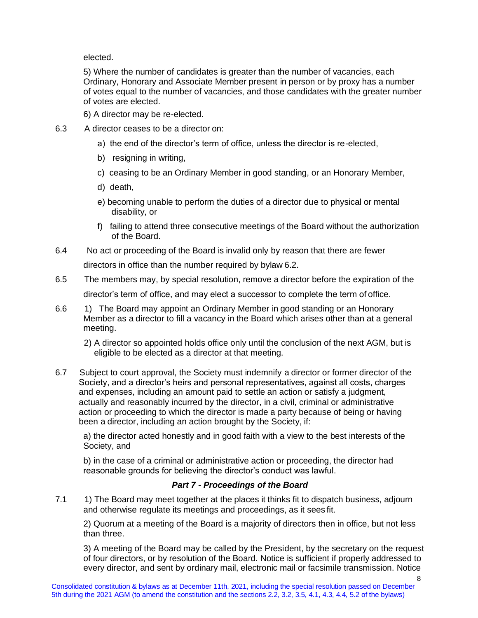elected.

5) Where the number of candidates is greater than the number of vacancies, each Ordinary, Honorary and Associate Member present in person or by proxy has a number of votes equal to the number of vacancies, and those candidates with the greater number of votes are elected.

- 6) A director may be re-elected.
- 6.3 A director ceases to be a director on:
	- a) the end of the director's term of office, unless the director is re-elected,
	- b) resigning in writing,
	- c) ceasing to be an Ordinary Member in good standing, or an Honorary Member,
	- d) death,
	- e) becoming unable to perform the duties of a director due to physical or mental disability, or
	- f) failing to attend three consecutive meetings of the Board without the authorization of the Board.
- 6.4 No act or proceeding of the Board is invalid only by reason that there are fewer directors in office than the number required by bylaw 6.2.
- 6.5 The members may, by special resolution, remove a director before the expiration of the director's term of office, and may elect a successor to complete the term of office.
- 6.6 1) The Board may appoint an Ordinary Member in good standing or an Honorary Member as a director to fill a vacancy in the Board which arises other than at a general meeting.
	- 2) A director so appointed holds office only until the conclusion of the next AGM, but is eligible to be elected as a director at that meeting.
- 6.7 Subject to court approval, the Society must indemnify a director or former director of the Society, and a director's heirs and personal representatives, against all costs, charges and expenses, including an amount paid to settle an action or satisfy a judgment, actually and reasonably incurred by the director, in a civil, criminal or administrative action or proceeding to which the director is made a party because of being or having been a director, including an action brought by the Society, if:

a) the director acted honestly and in good faith with a view to the best interests of the Society, and

b) in the case of a criminal or administrative action or proceeding, the director had reasonable grounds for believing the director's conduct was lawful.

# *Part 7 - Proceedings of the Board*

7.1 1) The Board may meet together at the places it thinks fit to dispatch business, adjourn and otherwise regulate its meetings and proceedings, as it sees fit.

2) Quorum at a meeting of the Board is a majority of directors then in office, but not less than three.

3) A meeting of the Board may be called by the President, by the secretary on the request of four directors, or by resolution of the Board. Notice is sufficient if properly addressed to every director, and sent by ordinary mail, electronic mail or facsimile transmission. Notice

8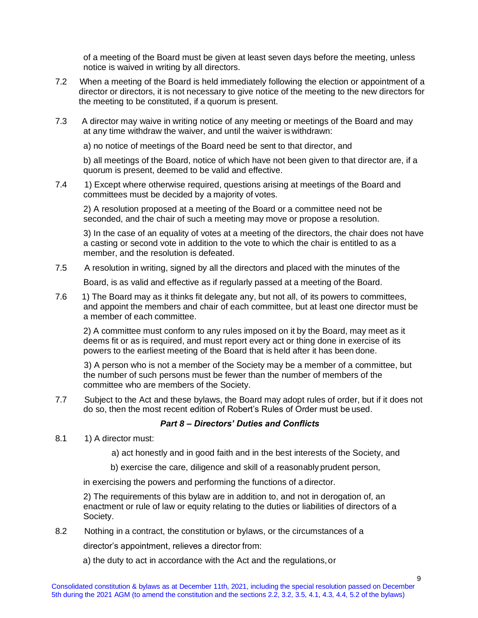of a meeting of the Board must be given at least seven days before the meeting, unless notice is waived in writing by all directors.

- 7.2 When a meeting of the Board is held immediately following the election or appointment of a director or directors, it is not necessary to give notice of the meeting to the new directors for the meeting to be constituted, if a quorum is present.
- 7.3 A director may waive in writing notice of any meeting or meetings of the Board and may at any time withdraw the waiver, and until the waiver is withdrawn:

a) no notice of meetings of the Board need be sent to that director, and

b) all meetings of the Board, notice of which have not been given to that director are, if a quorum is present, deemed to be valid and effective.

7.4 1) Except where otherwise required, questions arising at meetings of the Board and committees must be decided by a majority of votes.

2) A resolution proposed at a meeting of the Board or a committee need not be seconded, and the chair of such a meeting may move or propose a resolution.

3) In the case of an equality of votes at a meeting of the directors, the chair does not have a casting or second vote in addition to the vote to which the chair is entitled to as a member, and the resolution is defeated.

7.5 A resolution in writing, signed by all the directors and placed with the minutes of the

Board, is as valid and effective as if regularly passed at a meeting of the Board.

7.6 1) The Board may as it thinks fit delegate any, but not all, of its powers to committees, and appoint the members and chair of each committee, but at least one director must be a member of each committee.

2) A committee must conform to any rules imposed on it by the Board, may meet as it deems fit or as is required, and must report every act or thing done in exercise of its powers to the earliest meeting of the Board that is held after it has been done.

 3) A person who is not a member of the Society may be a member of a committee, but the number of such persons must be fewer than the number of members of the committee who are members of the Society.

7.7 Subject to the Act and these bylaws, the Board may adopt rules of order, but if it does not do so, then the most recent edition of Robert's Rules of Order must be used.

# *Part 8 – Directors' Duties and Conflicts*

- 8.1 1) A director must:
	- a) act honestly and in good faith and in the best interests of the Society, and
	- b) exercise the care, diligence and skill of a reasonably prudent person,

in exercising the powers and performing the functions of a director.

2) The requirements of this bylaw are in addition to, and not in derogation of, an enactment or rule of law or equity relating to the duties or liabilities of directors of a Society.

8.2 Nothing in a contract, the constitution or bylaws, or the circumstances of a

director's appointment, relieves a director from:

a) the duty to act in accordance with the Act and the regulations,or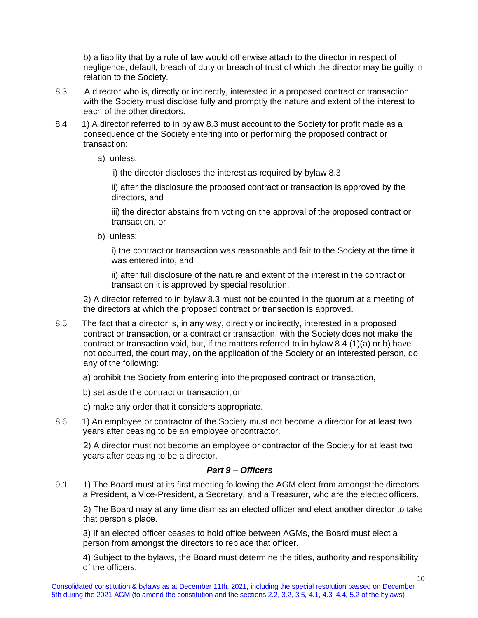b) a liability that by a rule of law would otherwise attach to the director in respect of negligence, default, breach of duty or breach of trust of which the director may be guilty in relation to the Society.

- 8.3 A director who is, directly or indirectly, interested in a proposed contract or transaction with the Society must disclose fully and promptly the nature and extent of the interest to each of the other directors.
- 8.4 1) A director referred to in bylaw 8.3 must account to the Society for profit made as a consequence of the Society entering into or performing the proposed contract or transaction:
	- a) unless:
		- i) the director discloses the interest as required by bylaw 8.3,

ii) after the disclosure the proposed contract or transaction is approved by the directors, and

iii) the director abstains from voting on the approval of the proposed contract or transaction, or

b) unless:

i) the contract or transaction was reasonable and fair to the Society at the time it was entered into, and

ii) after full disclosure of the nature and extent of the interest in the contract or transaction it is approved by special resolution.

2) A director referred to in bylaw 8.3 must not be counted in the quorum at a meeting of the directors at which the proposed contract or transaction is approved.

- 8.5 The fact that a director is, in any way, directly or indirectly, interested in a proposed contract or transaction, or a contract or transaction, with the Society does not make the contract or transaction void, but, if the matters referred to in bylaw 8.4 (1)(a) or b) have not occurred, the court may, on the application of the Society or an interested person, do any of the following:
	- a) prohibit the Society from entering into theproposed contract or transaction,
	- b) set aside the contract or transaction, or
	- c) make any order that it considers appropriate.
- 8.6 1) An employee or contractor of the Society must not become a director for at least two years after ceasing to be an employee or contractor.

2) A director must not become an employee or contractor of the Society for at least two years after ceasing to be a director.

### *Part 9 – Officers*

9.1 1) The Board must at its first meeting following the AGM elect from amongst the directors a President, a Vice-President, a Secretary, and a Treasurer, who are the electedofficers.

2) The Board may at any time dismiss an elected officer and elect another director to take that person's place.

3) If an elected officer ceases to hold office between AGMs, the Board must elect a person from amongst the directors to replace that officer.

4) Subject to the bylaws, the Board must determine the titles, authority and responsibility of the officers.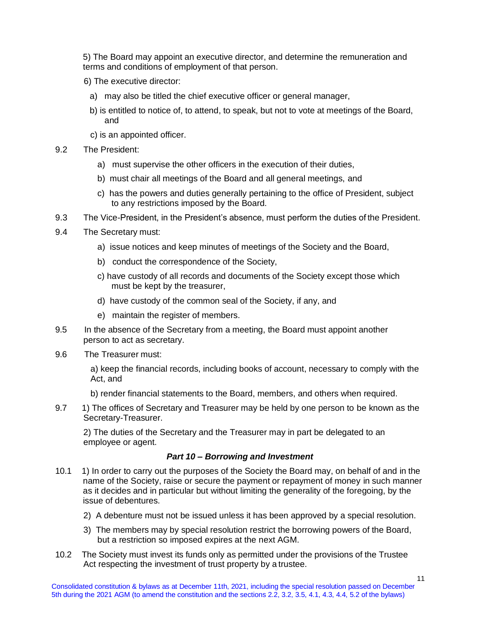5) The Board may appoint an executive director, and determine the remuneration and terms and conditions of employment of that person.

- 6) The executive director:
	- a) may also be titled the chief executive officer or general manager,
	- b) is entitled to notice of, to attend, to speak, but not to vote at meetings of the Board, and
	- c) is an appointed officer.
- 9.2 The President:
	- a) must supervise the other officers in the execution of their duties,
	- b) must chair all meetings of the Board and all general meetings, and
	- c) has the powers and duties generally pertaining to the office of President, subject to any restrictions imposed by the Board.
- 9.3 The Vice-President, in the President's absence, must perform the duties of the President.
- 9.4 The Secretary must:
	- a) issue notices and keep minutes of meetings of the Society and the Board,
	- b) conduct the correspondence of the Society,
	- c) have custody of all records and documents of the Society except those which must be kept by the treasurer,
	- d) have custody of the common seal of the Society, if any, and
	- e) maintain the register of members.
- 9.5 In the absence of the Secretary from a meeting, the Board must appoint another person to act as secretary.
- 9.6 The Treasurer must:

a) keep the financial records, including books of account, necessary to comply with the Act, and

- b) render financial statements to the Board, members, and others when required.
- 9.7 1) The offices of Secretary and Treasurer may be held by one person to be known as the Secretary-Treasurer.

2) The duties of the Secretary and the Treasurer may in part be delegated to an employee or agent.

### *Part 10 – Borrowing and Investment*

- 10.1 1) In order to carry out the purposes of the Society the Board may, on behalf of and in the name of the Society, raise or secure the payment or repayment of money in such manner as it decides and in particular but without limiting the generality of the foregoing, by the issue of debentures.
	- 2) A debenture must not be issued unless it has been approved by a special resolution.
	- 3) The members may by special resolution restrict the borrowing powers of the Board, but a restriction so imposed expires at the next AGM.
- 10.2 The Society must invest its funds only as permitted under the provisions of the Trustee Act respecting the investment of trust property by a trustee.